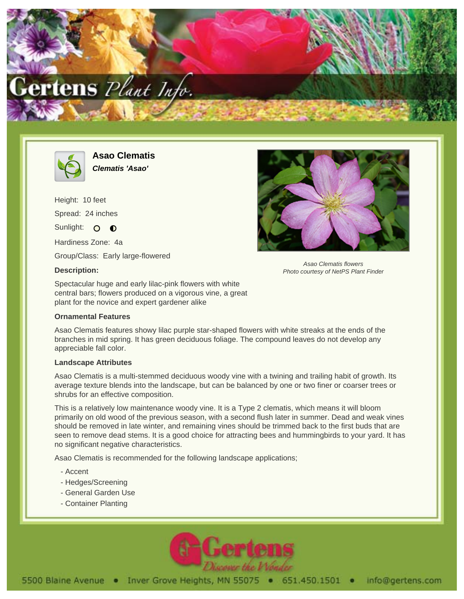



**Asao Clematis Clematis 'Asao'**

Height: 10 feet Spread: 24 inches Sunlight: O O

Hardiness Zone: 4a

Group/Class: Early large-flowered

## **Description:**

Asao Clematis flowers Photo courtesy of NetPS Plant Finder

Spectacular huge and early lilac-pink flowers with white central bars; flowers produced on a vigorous vine, a great plant for the novice and expert gardener alike

## **Ornamental Features**

Asao Clematis features showy lilac purple star-shaped flowers with white streaks at the ends of the branches in mid spring. It has green deciduous foliage. The compound leaves do not develop any appreciable fall color.

## **Landscape Attributes**

Asao Clematis is a multi-stemmed deciduous woody vine with a twining and trailing habit of growth. Its average texture blends into the landscape, but can be balanced by one or two finer or coarser trees or shrubs for an effective composition.

This is a relatively low maintenance woody vine. It is a Type 2 clematis, which means it will bloom primarily on old wood of the previous season, with a second flush later in summer. Dead and weak vines should be removed in late winter, and remaining vines should be trimmed back to the first buds that are seen to remove dead stems. It is a good choice for attracting bees and hummingbirds to your yard. It has no significant negative characteristics.

Asao Clematis is recommended for the following landscape applications;

- Accent
- Hedges/Screening
- General Garden Use
- Container Planting